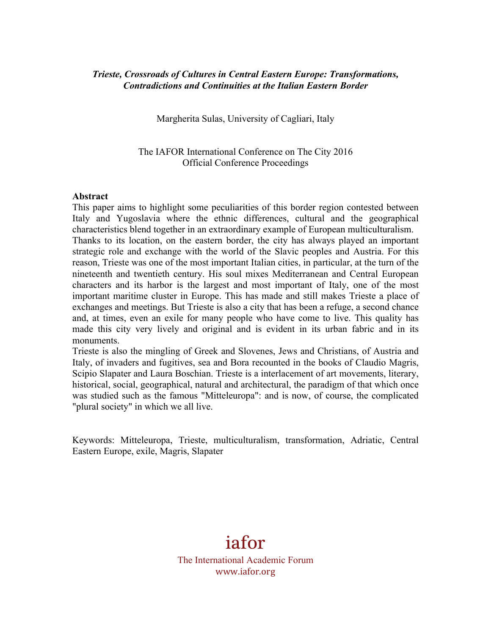### *Trieste, Crossroads of Cultures in Central Eastern Europe: Transformations, Contradictions and Continuities at the Italian Eastern Border*

Margherita Sulas, University of Cagliari, Italy

The IAFOR International Conference on The City 2016 Official Conference Proceedings

#### **Abstract**

This paper aims to highlight some peculiarities of this border region contested between Italy and Yugoslavia where the ethnic differences, cultural and the geographical characteristics blend together in an extraordinary example of European multiculturalism. Thanks to its location, on the eastern border, the city has always played an important strategic role and exchange with the world of the Slavic peoples and Austria. For this reason, Trieste was one of the most important Italian cities, in particular, at the turn of the nineteenth and twentieth century. His soul mixes Mediterranean and Central European characters and its harbor is the largest and most important of Italy, one of the most important maritime cluster in Europe. This has made and still makes Trieste a place of exchanges and meetings. But Trieste is also a city that has been a refuge, a second chance and, at times, even an exile for many people who have come to live. This quality has made this city very lively and original and is evident in its urban fabric and in its monuments.

Trieste is also the mingling of Greek and Slovenes, Jews and Christians, of Austria and Italy, of invaders and fugitives, sea and Bora recounted in the books of Claudio Magris, Scipio Slapater and Laura Boschian. Trieste is a interlacement of art movements, literary, historical, social, geographical, natural and architectural, the paradigm of that which once was studied such as the famous "Mitteleuropa": and is now, of course, the complicated "plural society" in which we all live.

Keywords: Mitteleuropa, Trieste, multiculturalism, transformation, Adriatic, Central Eastern Europe, exile, Magris, Slapater

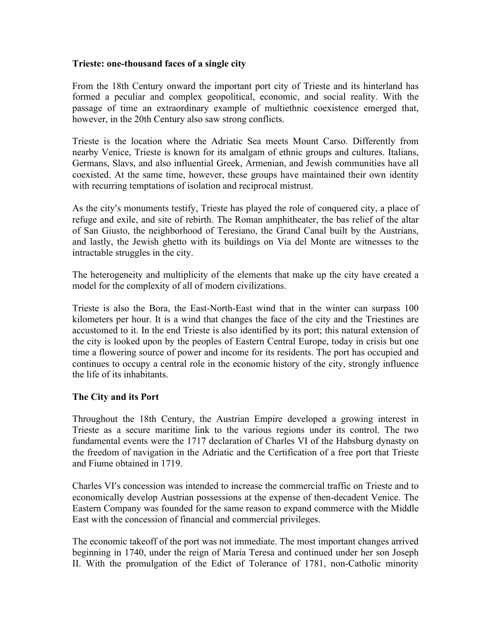### **Trieste: one-thousand faces of a single city**

From the 18th Century onward the important port city of Trieste and its hinterland has formed a peculiar and complex geopolitical, economic, and social reality. With the passage of time an extraordinary example of multiethnic coexistence emerged that, however, in the 20th Century also saw strong conflicts.

Trieste is the location where the Adriatic Sea meets Mount Carso. Differently from nearby Venice, Trieste is known for its amalgam of ethnic groups and cultures. Italians, Germans, Slavs, and also influential Greek, Armenian, and Jewish communities have all coexisted. At the same time, however, these groups have maintained their own identity with recurring temptations of isolation and reciprocal mistrust.

As the city's monuments testify, Trieste has played the role of conquered city, a place of refuge and exile, and site of rebirth. The Roman amphitheater, the bas relief of the altar of San Giusto, the neighborhood of Teresiano, the Grand Canal built by the Austrians, and lastly, the Jewish ghetto with its buildings on Via del Monte are witnesses to the intractable struggles in the city.

The heterogeneity and multiplicity of the elements that make up the city have created a model for the complexity of all of modern civilizations.

Trieste is also the Bora, the East-North-East wind that in the winter can surpass 100 kilometers per hour. It is a wind that changes the face of the city and the Triestines are accustomed to it. In the end Trieste is also identified by its port; this natural extension of the city is looked upon by the peoples of Eastern Central Europe, today in crisis but one time a flowering source of power and income for its residents. The port has occupied and continues to occupy a central role in the economic history of the city, strongly influence the life of its inhabitants.

# **The City and its Port**

Throughout the 18th Century, the Austrian Empire developed a growing interest in Trieste as a secure maritime link to the various regions under its control. The two fundamental events were the 1717 declaration of Charles VI of the Habsburg dynasty on the freedom of navigation in the Adriatic and the Certification of a free port that Trieste and Fiume obtained in 1719.

Charles VI's concession was intended to increase the commercial traffic on Trieste and to economically develop Austrian possessions at the expense of then-decadent Venice. The Eastern Company was founded for the same reason to expand commerce with the Middle East with the concession of financial and commercial privileges.

The economic takeoff of the port was not immediate. The most important changes arrived beginning in 1740, under the reign of Maria Teresa and continued under her son Joseph II. With the promulgation of the Edict of Tolerance of 1781, non-Catholic minority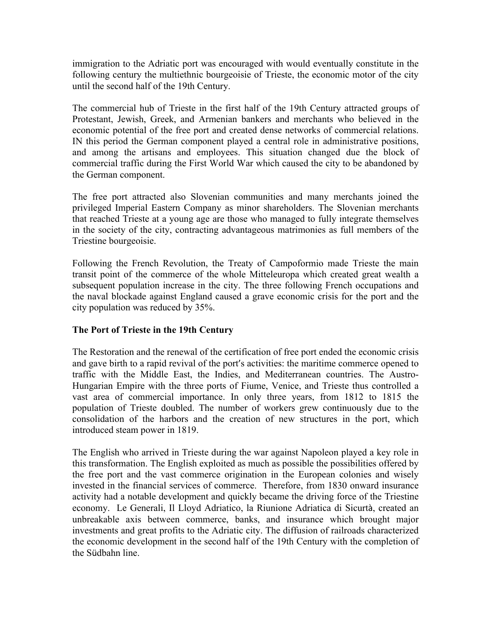immigration to the Adriatic port was encouraged with would eventually constitute in the following century the multiethnic bourgeoisie of Trieste, the economic motor of the city until the second half of the 19th Century.

The commercial hub of Trieste in the first half of the 19th Century attracted groups of Protestant, Jewish, Greek, and Armenian bankers and merchants who believed in the economic potential of the free port and created dense networks of commercial relations. IN this period the German component played a central role in administrative positions, and among the artisans and employees. This situation changed due the block of commercial traffic during the First World War which caused the city to be abandoned by the German component.

The free port attracted also Slovenian communities and many merchants joined the privileged Imperial Eastern Company as minor shareholders. The Slovenian merchants that reached Trieste at a young age are those who managed to fully integrate themselves in the society of the city, contracting advantageous matrimonies as full members of the Triestine bourgeoisie.

Following the French Revolution, the Treaty of Campoformio made Trieste the main transit point of the commerce of the whole Mitteleuropa which created great wealth a subsequent population increase in the city. The three following French occupations and the naval blockade against England caused a grave economic crisis for the port and the city population was reduced by 35%.

# **The Port of Trieste in the 19th Century**

The Restoration and the renewal of the certification of free port ended the economic crisis and gave birth to a rapid revival of the port's activities: the maritime commerce opened to traffic with the Middle East, the Indies, and Mediterranean countries. The Austro-Hungarian Empire with the three ports of Fiume, Venice, and Trieste thus controlled a vast area of commercial importance. In only three years, from 1812 to 1815 the population of Trieste doubled. The number of workers grew continuously due to the consolidation of the harbors and the creation of new structures in the port, which introduced steam power in 1819.

The English who arrived in Trieste during the war against Napoleon played a key role in this transformation. The English exploited as much as possible the possibilities offered by the free port and the vast commerce origination in the European colonies and wisely invested in the financial services of commerce. Therefore, from 1830 onward insurance activity had a notable development and quickly became the driving force of the Triestine economy. Le Generali, Il Lloyd Adriatico, la Riunione Adriatica di Sicurtà, created an unbreakable axis between commerce, banks, and insurance which brought major investments and great profits to the Adriatic city. The diffusion of railroads characterized the economic development in the second half of the 19th Century with the completion of the Südbahn line.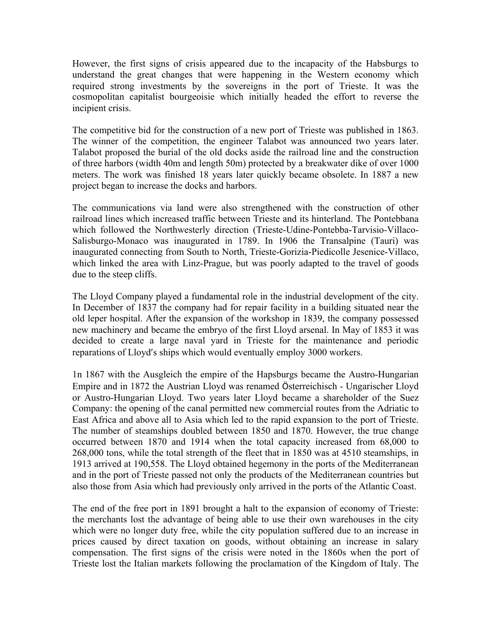However, the first signs of crisis appeared due to the incapacity of the Habsburgs to understand the great changes that were happening in the Western economy which required strong investments by the sovereigns in the port of Trieste. It was the cosmopolitan capitalist bourgeoisie which initially headed the effort to reverse the incipient crisis.

The competitive bid for the construction of a new port of Trieste was published in 1863. The winner of the competition, the engineer Talabot was announced two years later. Talabot proposed the burial of the old docks aside the railroad line and the construction of three harbors (width 40m and length 50m) protected by a breakwater dike of over 1000 meters. The work was finished 18 years later quickly became obsolete. In 1887 a new project began to increase the docks and harbors.

The communications via land were also strengthened with the construction of other railroad lines which increased traffic between Trieste and its hinterland. The Pontebbana which followed the Northwesterly direction (Trieste-Udine-Pontebba-Tarvisio-Villaco-Salisburgo-Monaco was inaugurated in 1789. In 1906 the Transalpine (Tauri) was inaugurated connecting from South to North, Trieste-Gorizia-Piedicolle Jesenice-Villaco, which linked the area with Linz-Prague, but was poorly adapted to the travel of goods due to the steep cliffs.

The Lloyd Company played a fundamental role in the industrial development of the city. In December of 1837 the company had for repair facility in a building situated near the old leper hospital. After the expansion of the workshop in 1839, the company possessed new machinery and became the embryo of the first Lloyd arsenal. In May of 1853 it was decided to create a large naval yard in Trieste for the maintenance and periodic reparations of Lloyd's ships which would eventually employ 3000 workers.

1n 1867 with the Ausgleich the empire of the Hapsburgs became the Austro-Hungarian Empire and in 1872 the Austrian Lloyd was renamed Österreichisch - Ungarischer Lloyd or Austro-Hungarian Lloyd. Two years later Lloyd became a shareholder of the Suez Company: the opening of the canal permitted new commercial routes from the Adriatic to East Africa and above all to Asia which led to the rapid expansion to the port of Trieste. The number of steamships doubled between 1850 and 1870. However, the true change occurred between 1870 and 1914 when the total capacity increased from 68,000 to 268,000 tons, while the total strength of the fleet that in 1850 was at 4510 steamships, in 1913 arrived at 190,558. The Lloyd obtained hegemony in the ports of the Mediterranean and in the port of Trieste passed not only the products of the Mediterranean countries but also those from Asia which had previously only arrived in the ports of the Atlantic Coast.

The end of the free port in 1891 brought a halt to the expansion of economy of Trieste: the merchants lost the advantage of being able to use their own warehouses in the city which were no longer duty free, while the city population suffered due to an increase in prices caused by direct taxation on goods, without obtaining an increase in salary compensation. The first signs of the crisis were noted in the 1860s when the port of Trieste lost the Italian markets following the proclamation of the Kingdom of Italy. The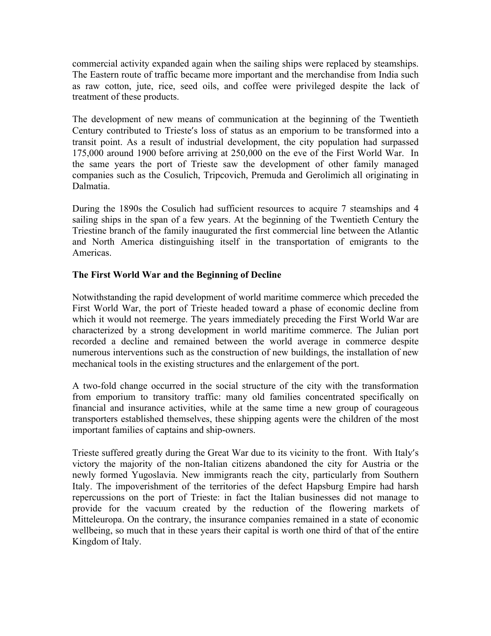commercial activity expanded again when the sailing ships were replaced by steamships. The Eastern route of traffic became more important and the merchandise from India such as raw cotton, jute, rice, seed oils, and coffee were privileged despite the lack of treatment of these products.

The development of new means of communication at the beginning of the Twentieth Century contributed to Trieste's loss of status as an emporium to be transformed into a transit point. As a result of industrial development, the city population had surpassed 175,000 around 1900 before arriving at 250,000 on the eve of the First World War. In the same years the port of Trieste saw the development of other family managed companies such as the Cosulich, Tripcovich, Premuda and Gerolimich all originating in Dalmatia.

During the 1890s the Cosulich had sufficient resources to acquire 7 steamships and 4 sailing ships in the span of a few years. At the beginning of the Twentieth Century the Triestine branch of the family inaugurated the first commercial line between the Atlantic and North America distinguishing itself in the transportation of emigrants to the Americas.

# **The First World War and the Beginning of Decline**

Notwithstanding the rapid development of world maritime commerce which preceded the First World War, the port of Trieste headed toward a phase of economic decline from which it would not reemerge. The years immediately preceding the First World War are characterized by a strong development in world maritime commerce. The Julian port recorded a decline and remained between the world average in commerce despite numerous interventions such as the construction of new buildings, the installation of new mechanical tools in the existing structures and the enlargement of the port.

A two-fold change occurred in the social structure of the city with the transformation from emporium to transitory traffic: many old families concentrated specifically on financial and insurance activities, while at the same time a new group of courageous transporters established themselves, these shipping agents were the children of the most important families of captains and ship-owners.

Trieste suffered greatly during the Great War due to its vicinity to the front. With Italy's victory the majority of the non-Italian citizens abandoned the city for Austria or the newly formed Yugoslavia. New immigrants reach the city, particularly from Southern Italy. The impoverishment of the territories of the defect Hapsburg Empire had harsh repercussions on the port of Trieste: in fact the Italian businesses did not manage to provide for the vacuum created by the reduction of the flowering markets of Mitteleuropa. On the contrary, the insurance companies remained in a state of economic wellbeing, so much that in these years their capital is worth one third of that of the entire Kingdom of Italy.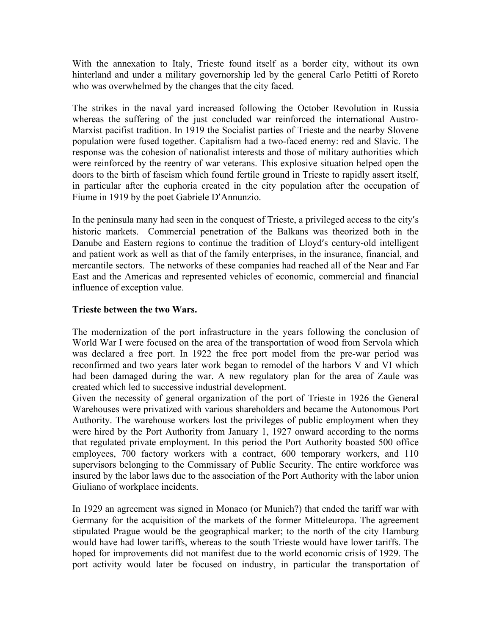With the annexation to Italy, Trieste found itself as a border city, without its own hinterland and under a military governorship led by the general Carlo Petitti of Roreto who was overwhelmed by the changes that the city faced.

The strikes in the naval yard increased following the October Revolution in Russia whereas the suffering of the just concluded war reinforced the international Austro-Marxist pacifist tradition. In 1919 the Socialist parties of Trieste and the nearby Slovene population were fused together. Capitalism had a two-faced enemy: red and Slavic. The response was the cohesion of nationalist interests and those of military authorities which were reinforced by the reentry of war veterans. This explosive situation helped open the doors to the birth of fascism which found fertile ground in Trieste to rapidly assert itself, in particular after the euphoria created in the city population after the occupation of Fiume in 1919 by the poet Gabriele D'Annunzio.

In the peninsula many had seen in the conquest of Trieste, a privileged access to the city's historic markets. Commercial penetration of the Balkans was theorized both in the Danube and Eastern regions to continue the tradition of Lloyd's century-old intelligent and patient work as well as that of the family enterprises, in the insurance, financial, and mercantile sectors. The networks of these companies had reached all of the Near and Far East and the Americas and represented vehicles of economic, commercial and financial influence of exception value.

## **Trieste between the two Wars.**

The modernization of the port infrastructure in the years following the conclusion of World War I were focused on the area of the transportation of wood from Servola which was declared a free port. In 1922 the free port model from the pre-war period was reconfirmed and two years later work began to remodel of the harbors V and VI which had been damaged during the war. A new regulatory plan for the area of Zaule was created which led to successive industrial development.

Given the necessity of general organization of the port of Trieste in 1926 the General Warehouses were privatized with various shareholders and became the Autonomous Port Authority. The warehouse workers lost the privileges of public employment when they were hired by the Port Authority from January 1, 1927 onward according to the norms that regulated private employment. In this period the Port Authority boasted 500 office employees, 700 factory workers with a contract, 600 temporary workers, and 110 supervisors belonging to the Commissary of Public Security. The entire workforce was insured by the labor laws due to the association of the Port Authority with the labor union Giuliano of workplace incidents.

In 1929 an agreement was signed in Monaco (or Munich?) that ended the tariff war with Germany for the acquisition of the markets of the former Mitteleuropa. The agreement stipulated Prague would be the geographical marker; to the north of the city Hamburg would have had lower tariffs, whereas to the south Trieste would have lower tariffs. The hoped for improvements did not manifest due to the world economic crisis of 1929. The port activity would later be focused on industry, in particular the transportation of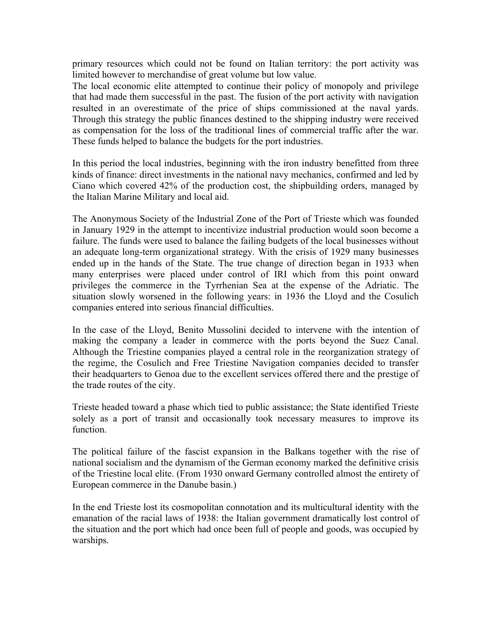primary resources which could not be found on Italian territory: the port activity was limited however to merchandise of great volume but low value.

The local economic elite attempted to continue their policy of monopoly and privilege that had made them successful in the past. The fusion of the port activity with navigation resulted in an overestimate of the price of ships commissioned at the naval yards. Through this strategy the public finances destined to the shipping industry were received as compensation for the loss of the traditional lines of commercial traffic after the war. These funds helped to balance the budgets for the port industries.

In this period the local industries, beginning with the iron industry benefitted from three kinds of finance: direct investments in the national navy mechanics, confirmed and led by Ciano which covered 42% of the production cost, the shipbuilding orders, managed by the Italian Marine Military and local aid.

The Anonymous Society of the Industrial Zone of the Port of Trieste which was founded in January 1929 in the attempt to incentivize industrial production would soon become a failure. The funds were used to balance the failing budgets of the local businesses without an adequate long-term organizational strategy. With the crisis of 1929 many businesses ended up in the hands of the State. The true change of direction began in 1933 when many enterprises were placed under control of IRI which from this point onward privileges the commerce in the Tyrrhenian Sea at the expense of the Adriatic. The situation slowly worsened in the following years: in 1936 the Lloyd and the Cosulich companies entered into serious financial difficulties.

In the case of the Lloyd, Benito Mussolini decided to intervene with the intention of making the company a leader in commerce with the ports beyond the Suez Canal. Although the Triestine companies played a central role in the reorganization strategy of the regime, the Cosulich and Free Triestine Navigation companies decided to transfer their headquarters to Genoa due to the excellent services offered there and the prestige of the trade routes of the city.

Trieste headed toward a phase which tied to public assistance; the State identified Trieste solely as a port of transit and occasionally took necessary measures to improve its function.

The political failure of the fascist expansion in the Balkans together with the rise of national socialism and the dynamism of the German economy marked the definitive crisis of the Triestine local elite. (From 1930 onward Germany controlled almost the entirety of European commerce in the Danube basin.)

In the end Trieste lost its cosmopolitan connotation and its multicultural identity with the emanation of the racial laws of 1938: the Italian government dramatically lost control of the situation and the port which had once been full of people and goods, was occupied by warships.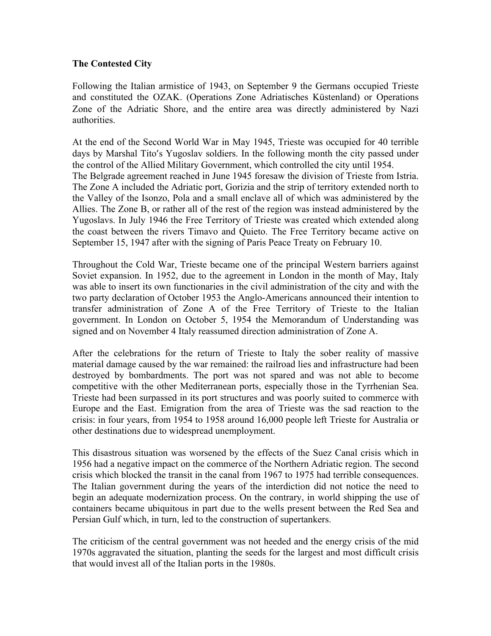## **The Contested City**

Following the Italian armistice of 1943, on September 9 the Germans occupied Trieste and constituted the OZAK. (Operations Zone Adriatisches Küstenland) or Operations Zone of the Adriatic Shore, and the entire area was directly administered by Nazi authorities.

At the end of the Second World War in May 1945, Trieste was occupied for 40 terrible days by Marshal Tito's Yugoslav soldiers. In the following month the city passed under the control of the Allied Military Government, which controlled the city until 1954. The Belgrade agreement reached in June 1945 foresaw the division of Trieste from Istria. The Zone A included the Adriatic port, Gorizia and the strip of territory extended north to the Valley of the Isonzo, Pola and a small enclave all of which was administered by the Allies. The Zone B, or rather all of the rest of the region was instead administered by the Yugoslavs. In July 1946 the Free Territory of Trieste was created which extended along the coast between the rivers Timavo and Quieto. The Free Territory became active on September 15, 1947 after with the signing of Paris Peace Treaty on February 10.

Throughout the Cold War, Trieste became one of the principal Western barriers against Soviet expansion. In 1952, due to the agreement in London in the month of May, Italy was able to insert its own functionaries in the civil administration of the city and with the two party declaration of October 1953 the Anglo-Americans announced their intention to transfer administration of Zone A of the Free Territory of Trieste to the Italian government. In London on October 5, 1954 the Memorandum of Understanding was signed and on November 4 Italy reassumed direction administration of Zone A.

After the celebrations for the return of Trieste to Italy the sober reality of massive material damage caused by the war remained: the railroad lies and infrastructure had been destroyed by bombardments. The port was not spared and was not able to become competitive with the other Mediterranean ports, especially those in the Tyrrhenian Sea. Trieste had been surpassed in its port structures and was poorly suited to commerce with Europe and the East. Emigration from the area of Trieste was the sad reaction to the crisis: in four years, from 1954 to 1958 around 16,000 people left Trieste for Australia or other destinations due to widespread unemployment.

This disastrous situation was worsened by the effects of the Suez Canal crisis which in 1956 had a negative impact on the commerce of the Northern Adriatic region. The second crisis which blocked the transit in the canal from 1967 to 1975 had terrible consequences. The Italian government during the years of the interdiction did not notice the need to begin an adequate modernization process. On the contrary, in world shipping the use of containers became ubiquitous in part due to the wells present between the Red Sea and Persian Gulf which, in turn, led to the construction of supertankers.

The criticism of the central government was not heeded and the energy crisis of the mid 1970s aggravated the situation, planting the seeds for the largest and most difficult crisis that would invest all of the Italian ports in the 1980s.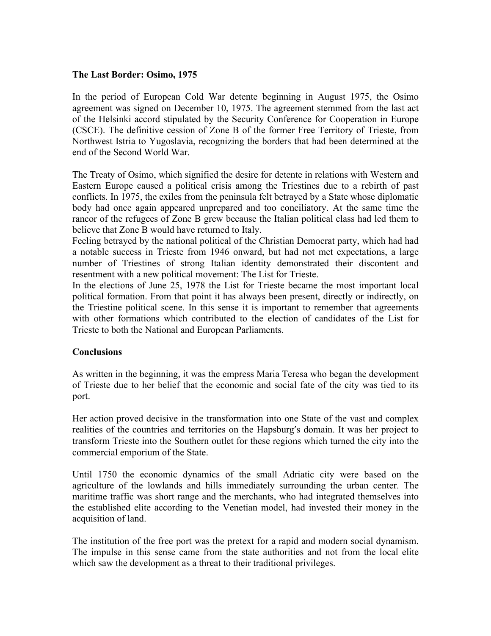## **The Last Border: Osimo, 1975**

In the period of European Cold War detente beginning in August 1975, the Osimo agreement was signed on December 10, 1975. The agreement stemmed from the last act of the Helsinki accord stipulated by the Security Conference for Cooperation in Europe (CSCE). The definitive cession of Zone B of the former Free Territory of Trieste, from Northwest Istria to Yugoslavia, recognizing the borders that had been determined at the end of the Second World War.

The Treaty of Osimo, which signified the desire for detente in relations with Western and Eastern Europe caused a political crisis among the Triestines due to a rebirth of past conflicts. In 1975, the exiles from the peninsula felt betrayed by a State whose diplomatic body had once again appeared unprepared and too conciliatory. At the same time the rancor of the refugees of Zone B grew because the Italian political class had led them to believe that Zone B would have returned to Italy.

Feeling betrayed by the national political of the Christian Democrat party, which had had a notable success in Trieste from 1946 onward, but had not met expectations, a large number of Triestines of strong Italian identity demonstrated their discontent and resentment with a new political movement: The List for Trieste.

In the elections of June 25, 1978 the List for Trieste became the most important local political formation. From that point it has always been present, directly or indirectly, on the Triestine political scene. In this sense it is important to remember that agreements with other formations which contributed to the election of candidates of the List for Trieste to both the National and European Parliaments.

### **Conclusions**

As written in the beginning, it was the empress Maria Teresa who began the development of Trieste due to her belief that the economic and social fate of the city was tied to its port.

Her action proved decisive in the transformation into one State of the vast and complex realities of the countries and territories on the Hapsburg's domain. It was her project to transform Trieste into the Southern outlet for these regions which turned the city into the commercial emporium of the State.

Until 1750 the economic dynamics of the small Adriatic city were based on the agriculture of the lowlands and hills immediately surrounding the urban center. The maritime traffic was short range and the merchants, who had integrated themselves into the established elite according to the Venetian model, had invested their money in the acquisition of land.

The institution of the free port was the pretext for a rapid and modern social dynamism. The impulse in this sense came from the state authorities and not from the local elite which saw the development as a threat to their traditional privileges.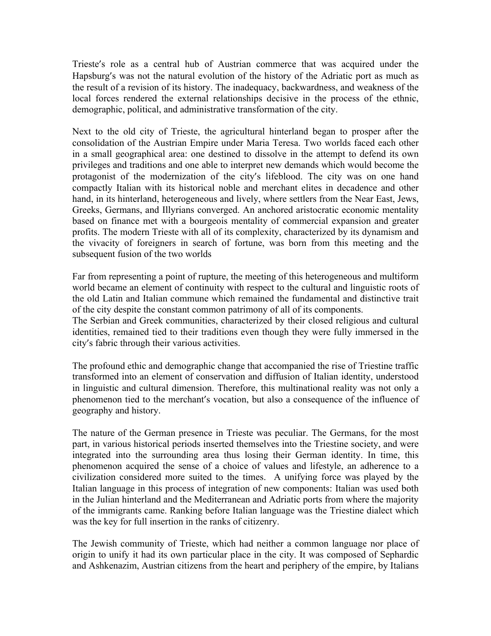Trieste's role as a central hub of Austrian commerce that was acquired under the Hapsburg's was not the natural evolution of the history of the Adriatic port as much as the result of a revision of its history. The inadequacy, backwardness, and weakness of the local forces rendered the external relationships decisive in the process of the ethnic, demographic, political, and administrative transformation of the city.

Next to the old city of Trieste, the agricultural hinterland began to prosper after the consolidation of the Austrian Empire under Maria Teresa. Two worlds faced each other in a small geographical area: one destined to dissolve in the attempt to defend its own privileges and traditions and one able to interpret new demands which would become the protagonist of the modernization of the city's lifeblood. The city was on one hand compactly Italian with its historical noble and merchant elites in decadence and other hand, in its hinterland, heterogeneous and lively, where settlers from the Near East, Jews, Greeks, Germans, and Illyrians converged. An anchored aristocratic economic mentality based on finance met with a bourgeois mentality of commercial expansion and greater profits. The modern Trieste with all of its complexity, characterized by its dynamism and the vivacity of foreigners in search of fortune, was born from this meeting and the subsequent fusion of the two worlds

Far from representing a point of rupture, the meeting of this heterogeneous and multiform world became an element of continuity with respect to the cultural and linguistic roots of the old Latin and Italian commune which remained the fundamental and distinctive trait of the city despite the constant common patrimony of all of its components.

The Serbian and Greek communities, characterized by their closed religious and cultural identities, remained tied to their traditions even though they were fully immersed in the city's fabric through their various activities.

The profound ethic and demographic change that accompanied the rise of Triestine traffic transformed into an element of conservation and diffusion of Italian identity, understood in linguistic and cultural dimension. Therefore, this multinational reality was not only a phenomenon tied to the merchant's vocation, but also a consequence of the influence of geography and history.

The nature of the German presence in Trieste was peculiar. The Germans, for the most part, in various historical periods inserted themselves into the Triestine society, and were integrated into the surrounding area thus losing their German identity. In time, this phenomenon acquired the sense of a choice of values and lifestyle, an adherence to a civilization considered more suited to the times. A unifying force was played by the Italian language in this process of integration of new components: Italian was used both in the Julian hinterland and the Mediterranean and Adriatic ports from where the majority of the immigrants came. Ranking before Italian language was the Triestine dialect which was the key for full insertion in the ranks of citizenry.

The Jewish community of Trieste, which had neither a common language nor place of origin to unify it had its own particular place in the city. It was composed of Sephardic and Ashkenazim, Austrian citizens from the heart and periphery of the empire, by Italians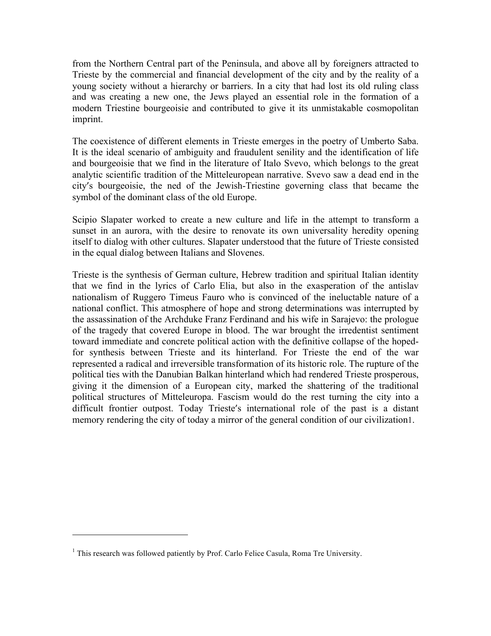from the Northern Central part of the Peninsula, and above all by foreigners attracted to Trieste by the commercial and financial development of the city and by the reality of a young society without a hierarchy or barriers. In a city that had lost its old ruling class and was creating a new one, the Jews played an essential role in the formation of a modern Triestine bourgeoisie and contributed to give it its unmistakable cosmopolitan imprint.

The coexistence of different elements in Trieste emerges in the poetry of Umberto Saba. It is the ideal scenario of ambiguity and fraudulent senility and the identification of life and bourgeoisie that we find in the literature of Italo Svevo, which belongs to the great analytic scientific tradition of the Mitteleuropean narrative. Svevo saw a dead end in the city's bourgeoisie, the ned of the Jewish-Triestine governing class that became the symbol of the dominant class of the old Europe.

Scipio Slapater worked to create a new culture and life in the attempt to transform a sunset in an aurora, with the desire to renovate its own universality heredity opening itself to dialog with other cultures. Slapater understood that the future of Trieste consisted in the equal dialog between Italians and Slovenes.

Trieste is the synthesis of German culture, Hebrew tradition and spiritual Italian identity that we find in the lyrics of Carlo Elia, but also in the exasperation of the antislav nationalism of Ruggero Timeus Fauro who is convinced of the ineluctable nature of a national conflict. This atmosphere of hope and strong determinations was interrupted by the assassination of the Archduke Franz Ferdinand and his wife in Sarajevo: the prologue of the tragedy that covered Europe in blood. The war brought the irredentist sentiment toward immediate and concrete political action with the definitive collapse of the hopedfor synthesis between Trieste and its hinterland. For Trieste the end of the war represented a radical and irreversible transformation of its historic role. The rupture of the political ties with the Danubian Balkan hinterland which had rendered Trieste prosperous, giving it the dimension of a European city, marked the shattering of the traditional political structures of Mitteleuropa. Fascism would do the rest turning the city into a difficult frontier outpost. Today Trieste's international role of the past is a distant memory rendering the city of today a mirror of the general condition of our civilization1.

 

<sup>&</sup>lt;sup>1</sup> This research was followed patiently by Prof. Carlo Felice Casula, Roma Tre University.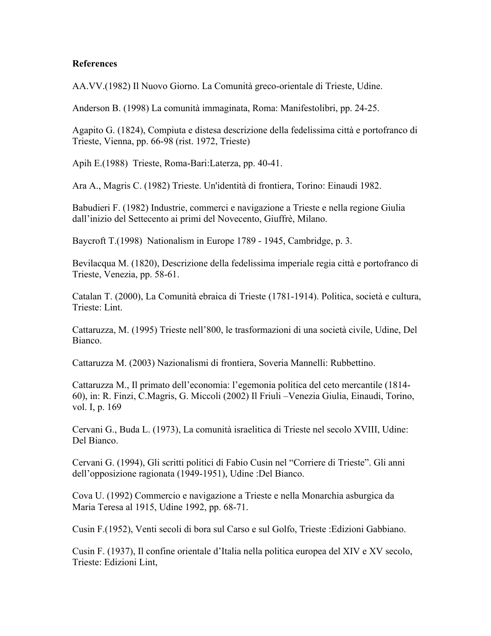#### **References**

AA.VV.(1982) Il Nuovo Giorno. La Comunità greco-orientale di Trieste, Udine.

Anderson B. (1998) La comunità immaginata, Roma: Manifestolibri, pp. 24-25.

Agapito G. (1824), Compiuta e distesa descrizione della fedelissima città e portofranco di Trieste, Vienna, pp. 66-98 (rist. 1972, Trieste)

Apih E.(1988) Trieste, Roma-Bari:Laterza, pp. 40-41.

Ara A., Magris C. (1982) Trieste. Un'identità di frontiera, Torino: Einaudi 1982.

Babudieri F. (1982) Industrie, commerci e navigazione a Trieste e nella regione Giulia dall'inizio del Settecento ai primi del Novecento, Giuffrè, Milano.

Baycroft T.(1998) Nationalism in Europe 1789 - 1945, Cambridge, p. 3.

Bevilacqua M. (1820), Descrizione della fedelissima imperiale regia città e portofranco di Trieste, Venezia, pp. 58-61.

Catalan T. (2000), La Comunità ebraica di Trieste (1781-1914). Politica, società e cultura, Trieste: Lint.

Cattaruzza, M. (1995) Trieste nell'800, le trasformazioni di una società civile, Udine, Del Bianco.

Cattaruzza M. (2003) Nazionalismi di frontiera, Soveria Mannelli: Rubbettino.

Cattaruzza M., Il primato dell'economia: l'egemonia politica del ceto mercantile (1814- 60), in: R. Finzi, C.Magris, G. Miccoli (2002) Il Friuli –Venezia Giulia, Einaudi, Torino, vol. I, p. 169

Cervani G., Buda L. (1973), La comunità israelitica di Trieste nel secolo XVIII, Udine: Del Bianco.

Cervani G. (1994), Gli scritti politici di Fabio Cusin nel "Corriere di Trieste". Gli anni dell'opposizione ragionata (1949-1951), Udine :Del Bianco.

Cova U. (1992) Commercio e navigazione a Trieste e nella Monarchia asburgica da Maria Teresa al 1915, Udine 1992, pp. 68-71.

Cusin F.(1952), Venti secoli di bora sul Carso e sul Golfo, Trieste :Edizioni Gabbiano.

Cusin F. (1937), Il confine orientale d'Italia nella politica europea del XIV e XV secolo, Trieste: Edizioni Lint,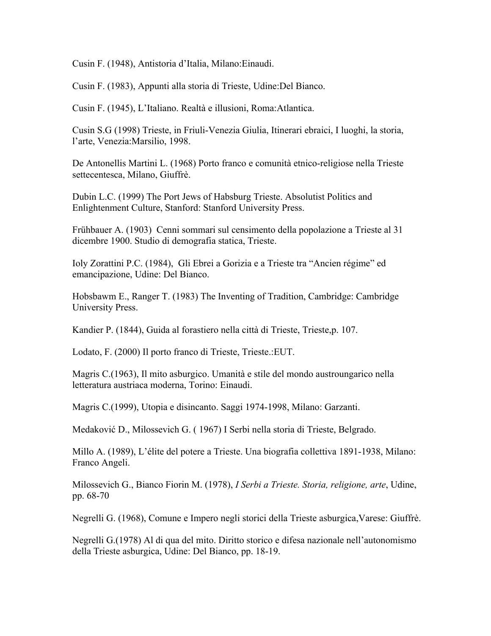Cusin F. (1948), Antistoria d'Italia, Milano:Einaudi.

Cusin F. (1983), Appunti alla storia di Trieste, Udine:Del Bianco.

Cusin F. (1945), L'Italiano. Realtà e illusioni, Roma:Atlantica.

Cusin S.G (1998) Trieste, in Friuli-Venezia Giulia, Itinerari ebraici, I luoghi, la storia, l'arte, Venezia:Marsilio, 1998.

De Antonellis Martini L. (1968) Porto franco e comunità etnico-religiose nella Trieste settecentesca, Milano, Giuffrè.

Dubin L.C. (1999) The Port Jews of Habsburg Trieste. Absolutist Politics and Enlightenment Culture, Stanford: Stanford University Press.

Frühbauer A. (1903) Cenni sommari sul censimento della popolazione a Trieste al 31 dicembre 1900. Studio di demografia statica, Trieste.

Ioly Zorattini P.C. (1984), Gli Ebrei a Gorizia e a Trieste tra "Ancien régime" ed emancipazione, Udine: Del Bianco.

Hobsbawm E., Ranger T. (1983) The Inventing of Tradition, Cambridge: Cambridge University Press.

Kandier P. (1844), Guida al forastiero nella città di Trieste, Trieste,p. 107.

Lodato, F. (2000) Il porto franco di Trieste, Trieste.:EUT.

Magris C.(1963), Il mito asburgico. Umanità e stile del mondo austroungarico nella letteratura austriaca moderna, Torino: Einaudi.

Magris C.(1999), Utopia e disincanto. Saggi 1974-1998, Milano: Garzanti.

Medaković D., Milossevich G. ( 1967) I Serbi nella storia di Trieste, Belgrado.

Millo A. (1989), L'élite del potere a Trieste. Una biografia collettiva 1891-1938, Milano: Franco Angeli.

Milossevich G., Bianco Fiorin M. (1978), *I Serbi a Trieste. Storia, religione, arte*, Udine, pp. 68-70

Negrelli G. (1968), Comune e Impero negli storici della Trieste asburgica,Varese: Giuffrè.

Negrelli G.(1978) Al di qua del mito. Diritto storico e difesa nazionale nell'autonomismo della Trieste asburgica, Udine: Del Bianco, pp. 18-19.